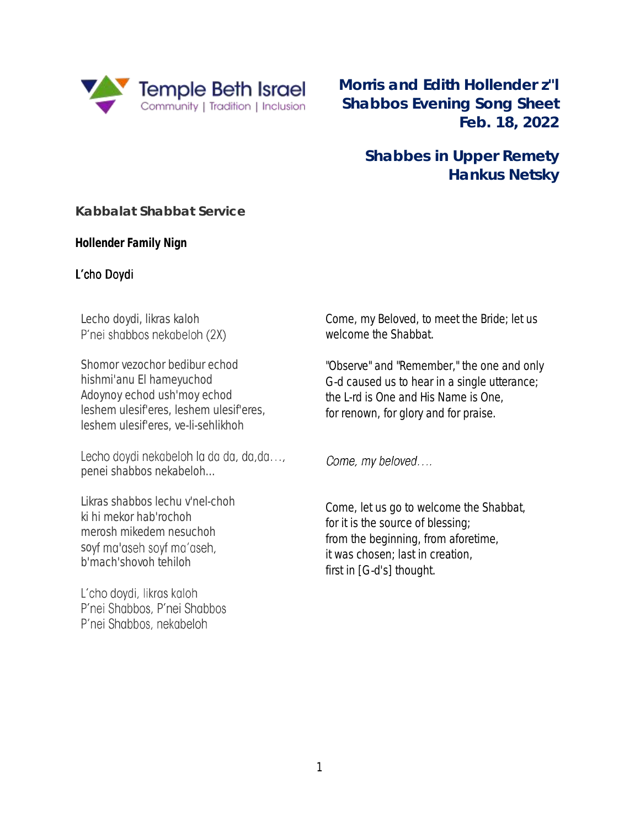

**Morris and Edith Hollender z"l Shabbos Evening Song Sheet Feb. 18, 2022**

# **Shabbes in Upper Remety Hankus Netsky**

**Kabbalat Shabbat Service**

Hollender Family Nign

L'cho Doydi

Lecho doydi, likras kaloh P'nei shabbos nekabeloh (2X)

Shomor vezochor bedibur echod hishmi'anu El hameyuchod Adoynoy echod ush'moy echod leshem ulesif'eres, leshem ulesif'eres, leshem ulesif'eres, ve-li-sehlikhoh

Lecho doydi nekabeloh la da da, da, da..., penei shabbos nekabeloh...

Likras shabbos lechu v'nel-choh ki hi mekor hab'rochoh merosh mikedem nesuchoh soyf ma'aseh soyf ma'aseh, b'mach'shovoh tehiloh

L'cho doydi, likras kaloh P'nei Shabbos, P'nei Shabbos P'nei Shabbos, nekabeloh

*Come, my Beloved, to meet the Bride; let us welcome the Shabbat.*

*"Observe" and "Remember," the one and only G*‑*d caused us to hear in a single utterance; the L-rd is One and His Name is One, for renown, for glory and for praise.*

Come, my beloved....

*Come, let us go to welcome the Shabbat, for it is the source of blessing; from the beginning, from aforetime, it was chosen; last in creation, first in [G*‑*d's] thought.*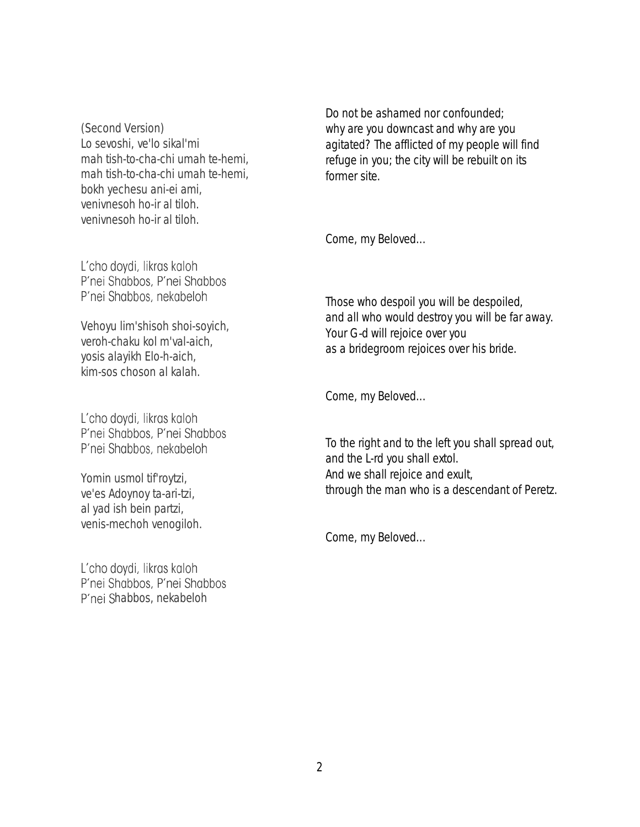(Second Version) Lo sevoshi, ve'lo sikal'mi mah tish-to-cha-chi umah te-hemi, mah tish-to-cha-chi umah te-hemi, bokh yechesu ani-ei ami, venivnesoh ho-ir al tiloh. venivnesoh ho-ir al tiloh.

L'cho doydi, likras kaloh P'nei Shabbos, P'nei Shabbos P'nei Shabbos, nekabeloh

Vehoyu lim'shisoh shoi-soyich, veroh-chaku kol m'val-aich, yosis alayikh Elo-h-aich, kim-sos choson al kalah.

L'cho doydi, likras kaloh P'nei Shabbos, P'nei Shabbos P'nei Shabbos, nekabeloh

Yomin usmol tif'roytzi, ve'es Adoynoy ta-ari-tzi, al yad ish bein partzi, venis-mechoh venogiloh.

L'cho doydi, likras kaloh P'nei Shabbos, P'nei Shabbos P'nei Shabbos, nekabeloh

*Do not be ashamed nor confounded; why are you downcast and why are you agitated? The afflicted of my people will find refuge in you; the city will be rebuilt on its former site.*

*Come, my Beloved...*

*Those who despoil you will be despoiled, and all who would destroy you will be far away. Your G*‑*d will rejoice over you as a bridegroom rejoices over his bride.*

*Come, my Beloved...*

*To the right and to the left you shall spread out, and the L-rd you shall extol. And we shall rejoice and exult, through the man who is a descendant of Peretz.*

*Come, my Beloved...*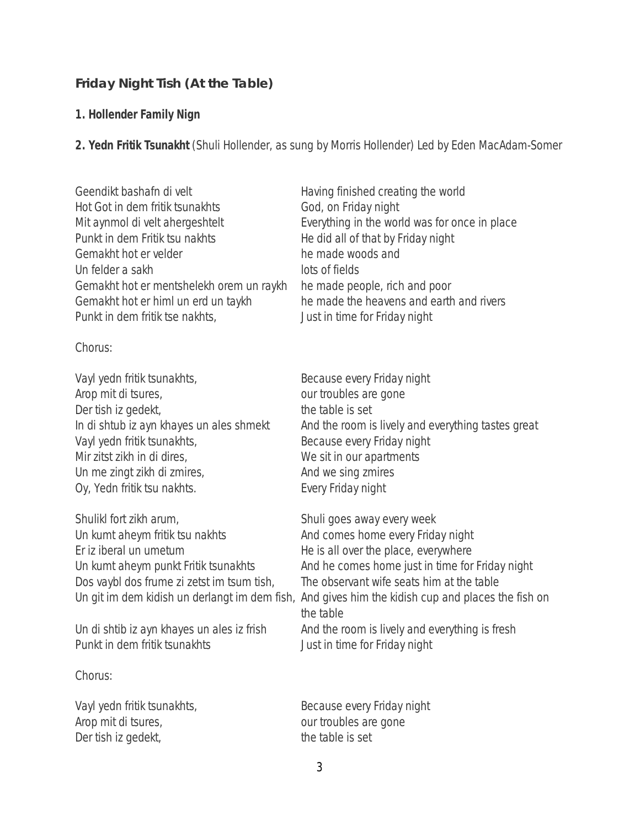## **Friday Night Tish (At the Table)**

1. Hollender Family Nign

2. Yedn Fritik Tsunakht (Shuli Hollender, as sung by Morris Hollender) *Led by Eden MacAdam-Somer*

| Geendikt bashafn di velt                 |
|------------------------------------------|
| Hot Got in dem fritik tsunakhts          |
| Mit aynmol di velt ahergeshtelt          |
| Punkt in dem Fritik tsu nakhts           |
| Gemakht hot er velder                    |
| Un felder a sakh                         |
| Gemakht hot er mentshelekh orem un raykh |
| Gemakht hot er himl un erd un taykh      |
| Punkt in dem fritik tse nakhts,          |

Chorus:

Vayl yedn fritik tsunakhts, *Because every Friday night* Arop mit di tsures, *our troubles are gone* Der tish iz gedekt, *the table is set* Vayl yedn fritik tsunakhts, *Because every Friday night* Mir zitst zikh in di dires, *We sit in our apartments* Un me zingt zikh di zmires, *And we sing zmires* Oy, Yedn fritik tsu nakhts. *Every Friday night*

Shulikl fort zikh arum, *Shuli goes away every week* Un kumt aheym fritik tsu nakhts *And comes home every Friday night* Er iz iberal un umetum *He is all over the place, everywhere* Dos vaybl dos frume zi zetst im tsum tish, *The observant wife seats him at the table*

Punkt in dem fritik tsunakhts *Just in time for Friday night*

Chorus:

Arop mit di tsures, *our troubles are gone* Der tish iz gedekt, *the table is set*

Having finished creating the world God, on Friday night Everything in the world was for once in place He did all of that by Friday night he made woods and lots of fields he made people, rich and poor he made the heavens and earth and rivers Punkt in dem fritik tse nakhts, *Just in time for Friday night*

In di shtub iz ayn khayes un ales shmekt *And the room is lively and everything tastes great*

Un kumt aheym punkt Fritik tsunakhts *And he comes home just in time for Friday night* Un git im dem kidish un derlangt im dem fish, *And gives him the kidish cup and places the fish on the table* Un di shtib iz ayn khayes un ales iz frish *And the room is lively and everything is fresh*

Vayl yedn fritik tsunakhts, *Because every Friday night*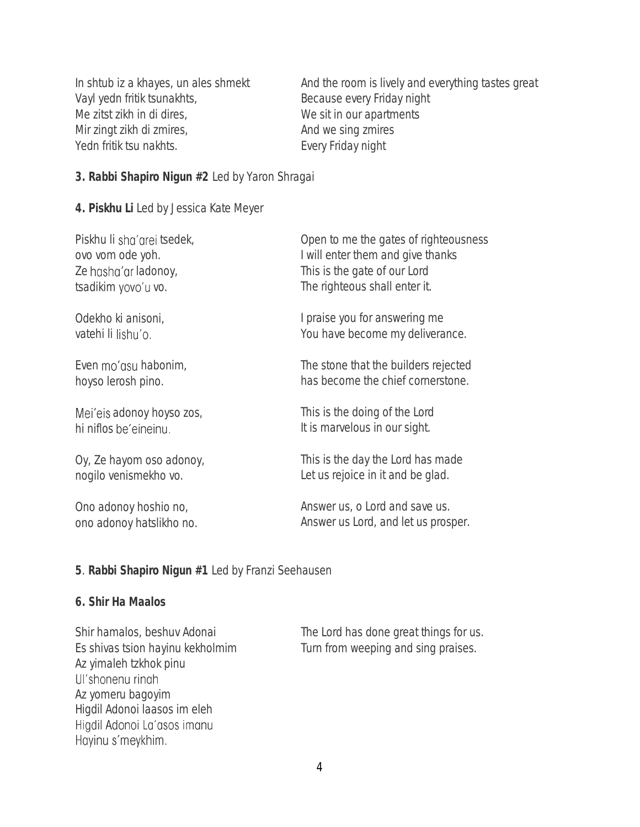Vayl yedn fritik tsunakhts, *Because every Friday night* Me zitst zikh in di dires, *We sit in our apartments* Mir zingt zikh di zmires, *And we sing zmires* Yedn fritik tsu nakhts. *Every Friday night*

In shtub iz a khayes, un ales shmekt *And the room is lively and everything tastes great*

3. Rabbi Shapiro Nigun #2 *Led by Yaron Shragai*

4. Piskhu Li *Led by Jessica Kate Meyer*

Piskhu li sha'arei tsedek, ovo vom ode yoh. Ze hasha'ar ladonoy, tsadikim yovo'u vo.

Odekho ki anisoni, vatehi li lishu'o.

Even mo'asu habonim, hoyso lerosh pino.

Mei'eis adonoy hoyso zos, hi niflos be'eineinu.

Oy, Ze hayom oso adonoy, nogilo venismekho vo.

Ono adonoy hoshio no, ono adonoy hatslikho no. *Open to me the gates of righteousness I will enter them and give thanks This is the gate of our Lord The righteous shall enter it.*

*I praise you for answering me You have become my deliverance.*

*The stone that the builders rejected has become the chief cornerstone.*

*This is the doing of the Lord It is marvelous in our sight.*

*This is the day the Lord has made Let us rejoice in it and be glad.*

*Answer us, o Lord and save us. Answer us Lord, and let us prosper.*

### 5. Rabbi Shapiro Nigun #1 *Led by Franzi Seehausen*

#### 6. Shir Ha Maalos

Az yimaleh tzkhok pinu Ul'shonenu ringh Az yomeru bagoyim Higdil Adonoi laasos im elehHigdil Adonoi La'asos imanu Hayinu s'meykhim.

Shir hamalos, beshuv Adonai *The Lord has done great things for us.* Es shivas tsion hayinu kekholmim *Turn from weeping and sing praises.*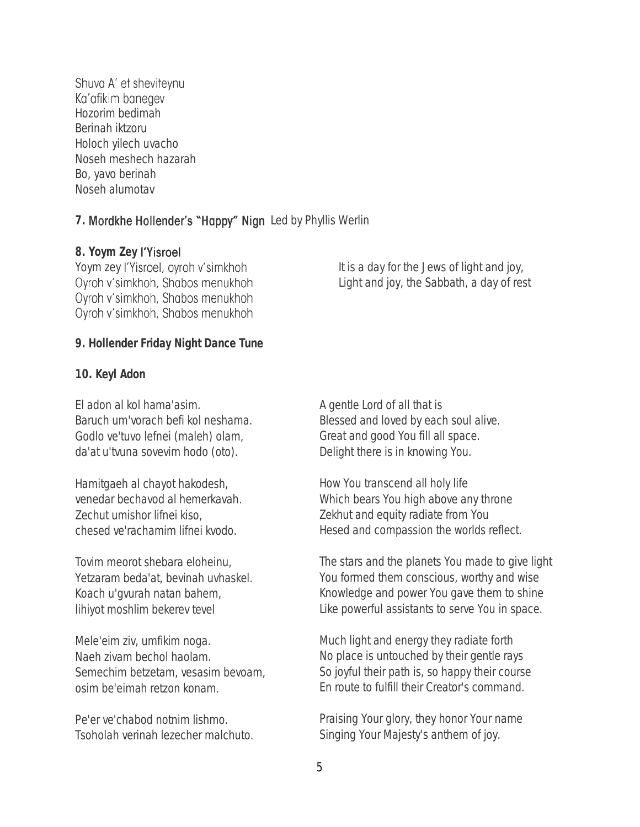Shuva A' et sheviteynu Ka'afikim banegev Hozorim bedimah Berinah iktzoru Holoch yilech uvacho Noseh meshech hazarah Bo, yavo berinah Noseh alumotav

### 7. Mordkhe Hollender's "Happy" Nign Led by Phyllis Werlin

8. Yoym Zey l'Yisroel Oyroh v'simkhoh, Shabos menukhoh Oyroh v'simkhoh, Shabos menukhoh Oyroh v'simkhoh, Shabos menukhoh

Yoym zey *It is a day for the Jews of light and joy, Light and joy, the Sabbath, a day of rest*

9. Hollender Friday Night Dance Tune

10. Keyl Adon

El adon al kol hama'asim. Baruch um'vorach befi kol neshama. Godlo ve'tuvo lefnei (maleh) olam, da'at u'tvuna sovevim hodo (oto).

Hamitgaeh al chayot hakodesh, venedar bechavod al hemerkavah. Zechut umishor lifnei kiso, chesed ve'rachamim lifnei kvodo.

Tovim meorot shebara eloheinu, Yetzaram beda'at, bevinah uvhaskel. Koach u'gvurah natan bahem, lihiyot moshlim bekerev tevel

Mele'eim ziv, umfikim noga. Naeh zivam bechol haolam. Semechim betzetam, vesasim bevoam, osim be'eimah retzon konam.

Pe'er ve'chabod notnim lishmo. Tsoholah verinah lezecher malchuto. *A gentle Lord of all that is Blessed and loved by each soul alive. Great and good You fill all space. Delight there is in knowing You.*

*How You transcend all holy life Which bears You high above any throne Zekhut and equity radiate from You Hesed and compassion the worlds reflect.*

*The stars and the planets You made to give light You formed them conscious, worthy and wise Knowledge and power You gave them to shine Like powerful assistants to serve You in space.*

*Much light and energy they radiate forth No place is untouched by their gentle rays So joyful their path is, so happy their course En route to fulfill their Creator's command.*

*Praising Your glory, they honor Your name Singing Your Majesty's anthem of joy.*